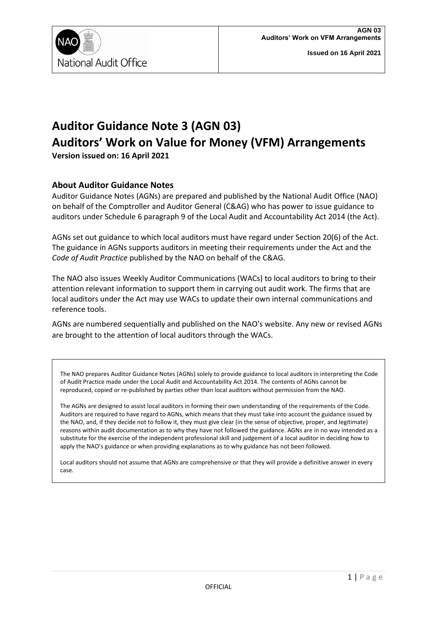

## **Auditor Guidance Note 3 (AGN 03) Auditors' Work on Value for Money (VFM) Arrangements Version issued on: 16 April 2021**

# **About Auditor Guidance Notes**

Auditor Guidance Notes (AGNs) are prepared and published by the National Audit Office (NAO) on behalf of the Comptroller and Auditor General (C&AG) who has power to issue guidance to auditors under Schedule 6 paragraph 9 of the Local Audit and Accountability Act 2014 (the Act).

AGNs set out guidance to which local auditors must have regard under Section 20(6) of the Act. The guidance in AGNs supports auditors in meeting their requirements under the Act and the *Code of Audit Practice* published by the NAO on behalf of the C&AG.

The NAO also issues Weekly Auditor Communications (WACs) to local auditors to bring to their attention relevant information to support them in carrying out audit work. The firms that are local auditors under the Act may use WACs to update their own internal communications and reference tools.

AGNs are numbered sequentially and published on the NAO's website. Any new or revised AGNs are brought to the attention of local auditors through the WACs.

The NAO prepares Auditor Guidance Notes (AGNs) solely to provide guidance to local auditors in interpreting the Code of Audit Practice made under the Local Audit and Accountability Act 2014. The contents of AGNs cannot be reproduced, copied or re-published by parties other than local auditors without permission from the NAO.

The AGNs are designed to assist local auditors in forming their own understanding of the requirements of the Code. Auditors are required to have regard to AGNs, which means that they must take into account the guidance issued by the NAO, and, if they decide not to follow it, they must give clear (in the sense of objective, proper, and legitimate) reasons within audit documentation as to why they have not followed the guidance. AGNs are in no way intended as a substitute for the exercise of the independent professional skill and judgement of a local auditor in deciding how to apply the NAO's guidance or when providing explanations as to why guidance has not been followed.

Local auditors should not assume that AGNs are comprehensive or that they will provide a definitive answer in every case.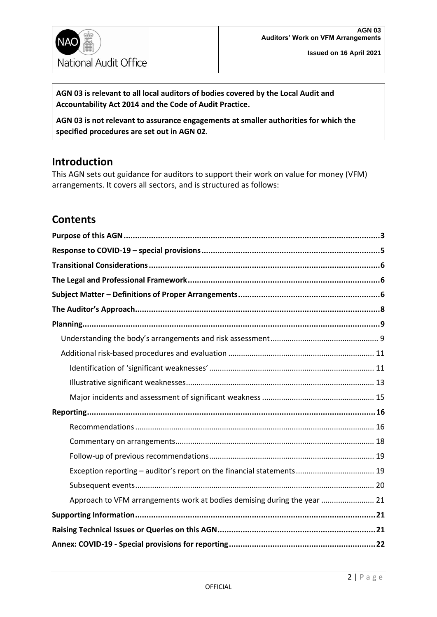

**AGN 03 is relevant to all local auditors of bodies covered by the Local Audit and Accountability Act 2014 and the Code of Audit Practice.**

**AGN 03 is not relevant to assurance engagements at smaller authorities for which the specified procedures are set out in AGN 02**.

### **Introduction**

This AGN sets out guidance for auditors to support their work on value for money (VFM) arrangements. It covers all sectors, and is structured as follows:

### **Contents**

| Approach to VFM arrangements work at bodies demising during the year  21 |  |
|--------------------------------------------------------------------------|--|
|                                                                          |  |
|                                                                          |  |
|                                                                          |  |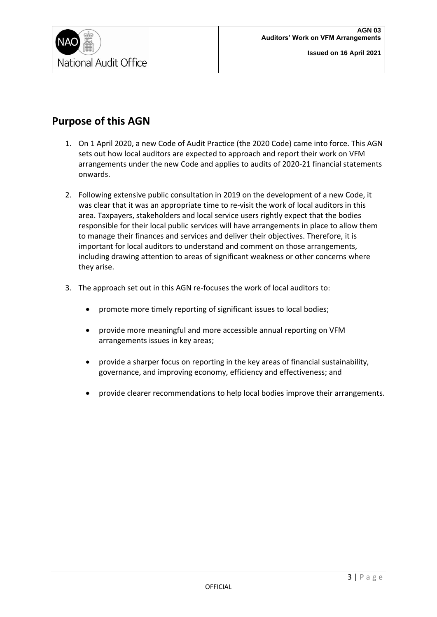

### <span id="page-2-0"></span>**Purpose of this AGN**

- 1. On 1 April 2020, a new Code of Audit Practice (the 2020 Code) came into force. This AGN sets out how local auditors are expected to approach and report their work on VFM arrangements under the new Code and applies to audits of 2020-21 financial statements onwards.
- 2. Following extensive public consultation in 2019 on the development of a new Code, it was clear that it was an appropriate time to re-visit the work of local auditors in this area. Taxpayers, stakeholders and local service users rightly expect that the bodies responsible for their local public services will have arrangements in place to allow them to manage their finances and services and deliver their objectives. Therefore, it is important for local auditors to understand and comment on those arrangements, including drawing attention to areas of significant weakness or other concerns where they arise.
- 3. The approach set out in this AGN re-focuses the work of local auditors to:
	- promote more timely reporting of significant issues to local bodies;
	- provide more meaningful and more accessible annual reporting on VFM arrangements issues in key areas;
	- provide a sharper focus on reporting in the key areas of financial sustainability, governance, and improving economy, efficiency and effectiveness; and
	- provide clearer recommendations to help local bodies improve their arrangements.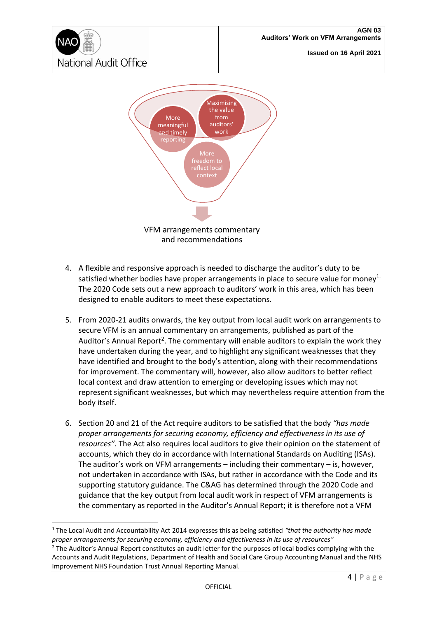



- 4. A flexible and responsive approach is needed to discharge the auditor's duty to be satisfied whether bodies have proper arrangements in place to secure value for money<sup>1.</sup> The 2020 Code sets out a new approach to auditors' work in this area, which has been designed to enable auditors to meet these expectations.
- 5. From 2020-21 audits onwards, the key output from local audit work on arrangements to secure VFM is an annual commentary on arrangements, published as part of the Auditor's Annual Report<sup>2</sup>. The commentary will enable auditors to explain the work they have undertaken during the year, and to highlight any significant weaknesses that they have identified and brought to the body's attention, along with their recommendations for improvement. The commentary will, however, also allow auditors to better reflect local context and draw attention to emerging or developing issues which may not represent significant weaknesses, but which may nevertheless require attention from the body itself.
- 6. Section 20 and 21 of the Act require auditors to be satisfied that the body *"has made proper arrangements for securing economy, efficiency and effectiveness in its use of resources"*. The Act also requires local auditors to give their opinion on the statement of accounts, which they do in accordance with International Standards on Auditing (ISAs). The auditor's work on VFM arrangements – including their commentary – is, however, not undertaken in accordance with ISAs, but rather in accordance with the Code and its supporting statutory guidance. The C&AG has determined through the 2020 Code and guidance that the key output from local audit work in respect of VFM arrangements is the commentary as reported in the Auditor's Annual Report; it is therefore not a VFM

<sup>1</sup> The Local Audit and Accountability Act 2014 expresses this as being satisfied *"that the authority has made proper arrangements for securing economy, efficiency and effectiveness in its use of resources"*

 $<sup>2</sup>$  The Auditor's Annual Report constitutes an audit letter for the purposes of local bodies complying with the</sup> Accounts and Audit Regulations, Department of Health and Social Care Group Accounting Manual and the NHS Improvement NHS Foundation Trust Annual Reporting Manual.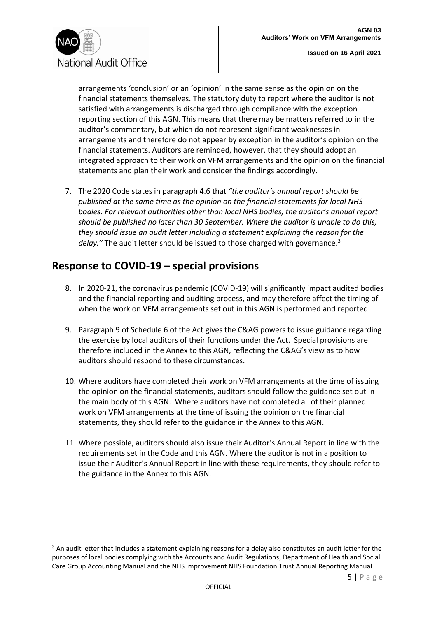

arrangements 'conclusion' or an 'opinion' in the same sense as the opinion on the financial statements themselves. The statutory duty to report where the auditor is not satisfied with arrangements is discharged through compliance with the exception reporting section of this AGN. This means that there may be matters referred to in the auditor's commentary, but which do not represent significant weaknesses in arrangements and therefore do not appear by exception in the auditor's opinion on the financial statements. Auditors are reminded, however, that they should adopt an integrated approach to their work on VFM arrangements and the opinion on the financial statements and plan their work and consider the findings accordingly.

7. The 2020 Code states in paragraph 4.6 that *"the auditor's annual report should be published at the same time as the opinion on the financial statements for local NHS bodies. For relevant authorities other than local NHS bodies, the auditor's annual report should be published no later than 30 September. Where the auditor is unable to do this, they should issue an audit letter including a statement explaining the reason for the*  delay." The audit letter should be issued to those charged with governance.<sup>3</sup>

### <span id="page-4-0"></span>**Response to COVID-19 – special provisions**

- 8. In 2020-21, the coronavirus pandemic (COVID-19) will significantly impact audited bodies and the financial reporting and auditing process, and may therefore affect the timing of when the work on VFM arrangements set out in this AGN is performed and reported.
- 9. Paragraph 9 of Schedule 6 of the Act gives the C&AG powers to issue guidance regarding the exercise by local auditors of their functions under the Act. Special provisions are therefore included in the Annex to this AGN, reflecting the C&AG's view as to how auditors should respond to these circumstances.
- 10. Where auditors have completed their work on VFM arrangements at the time of issuing the opinion on the financial statements, auditors should follow the guidance set out in the main body of this AGN. Where auditors have not completed all of their planned work on VFM arrangements at the time of issuing the opinion on the financial statements, they should refer to the guidance in the Annex to this AGN.
- 11. Where possible, auditors should also issue their Auditor's Annual Report in line with the requirements set in the Code and this AGN. Where the auditor is not in a position to issue their Auditor's Annual Report in line with these requirements, they should refer to the guidance in the Annex to this AGN.

 $3$  An audit letter that includes a statement explaining reasons for a delay also constitutes an audit letter for the purposes of local bodies complying with the Accounts and Audit Regulations, Department of Health and Social Care Group Accounting Manual and the NHS Improvement NHS Foundation Trust Annual Reporting Manual.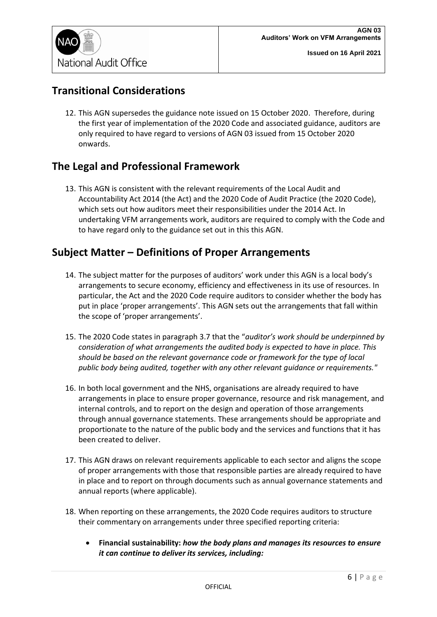

### <span id="page-5-0"></span>**Transitional Considerations**

12. This AGN supersedes the guidance note issued on 15 October 2020. Therefore, during the first year of implementation of the 2020 Code and associated guidance, auditors are only required to have regard to versions of AGN 03 issued from 15 October 2020 onwards.

### <span id="page-5-1"></span>**The Legal and Professional Framework**

13. This AGN is consistent with the relevant requirements of the Local Audit and Accountability Act 2014 (the Act) and the 2020 Code of Audit Practice (the 2020 Code), which sets out how auditors meet their responsibilities under the 2014 Act. In undertaking VFM arrangements work, auditors are required to comply with the Code and to have regard only to the guidance set out in this this AGN.

### <span id="page-5-2"></span>**Subject Matter – Definitions of Proper Arrangements**

- 14. The subject matter for the purposes of auditors' work under this AGN is a local body's arrangements to secure economy, efficiency and effectiveness in its use of resources. In particular, the Act and the 2020 Code require auditors to consider whether the body has put in place 'proper arrangements'. This AGN sets out the arrangements that fall within the scope of 'proper arrangements'.
- 15. The 2020 Code states in paragraph 3.7 that the "*auditor's work should be underpinned by consideration of what arrangements the audited body is expected to have in place. This should be based on the relevant governance code or framework for the type of local public body being audited, together with any other relevant guidance or requirements."*
- 16. In both local government and the NHS, organisations are already required to have arrangements in place to ensure proper governance, resource and risk management, and internal controls, and to report on the design and operation of those arrangements through annual governance statements. These arrangements should be appropriate and proportionate to the nature of the public body and the services and functions that it has been created to deliver.
- 17. This AGN draws on relevant requirements applicable to each sector and aligns the scope of proper arrangements with those that responsible parties are already required to have in place and to report on through documents such as annual governance statements and annual reports (where applicable).
- 18. When reporting on these arrangements, the 2020 Code requires auditors to structure their commentary on arrangements under three specified reporting criteria:
	- **Financial sustainability:** *how the body plans and manages its resources to ensure it can continue to deliver its services, including:*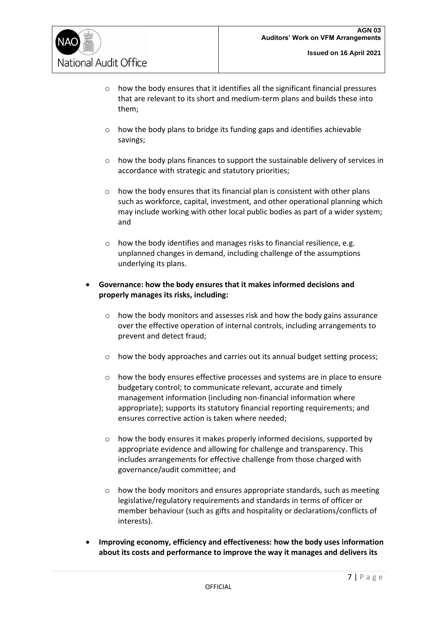

- o how the body ensures that it identifies all the significant financial pressures that are relevant to its short and medium-term plans and builds these into them;
- o how the body plans to bridge its funding gaps and identifies achievable savings;
- $\circ$  how the body plans finances to support the sustainable delivery of services in accordance with strategic and statutory priorities;
- o how the body ensures that its financial plan is consistent with other plans such as workforce, capital, investment, and other operational planning which may include working with other local public bodies as part of a wider system; and
- $\circ$  how the body identifies and manages risks to financial resilience, e.g. unplanned changes in demand, including challenge of the assumptions underlying its plans.
- **Governance: how the body ensures that it makes informed decisions and properly manages its risks, including:**
	- o how the body monitors and assesses risk and how the body gains assurance over the effective operation of internal controls, including arrangements to prevent and detect fraud;
	- o how the body approaches and carries out its annual budget setting process;
	- o how the body ensures effective processes and systems are in place to ensure budgetary control; to communicate relevant, accurate and timely management information (including non-financial information where appropriate); supports its statutory financial reporting requirements; and ensures corrective action is taken where needed;
	- o how the body ensures it makes properly informed decisions, supported by appropriate evidence and allowing for challenge and transparency. This includes arrangements for effective challenge from those charged with governance/audit committee; and
	- $\circ$  how the body monitors and ensures appropriate standards, such as meeting legislative/regulatory requirements and standards in terms of officer or member behaviour (such as gifts and hospitality or declarations/conflicts of interests).
- **Improving economy, efficiency and effectiveness: how the body uses information about its costs and performance to improve the way it manages and delivers its**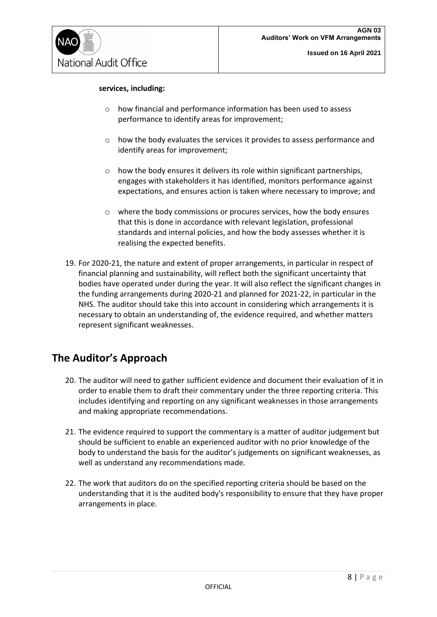

#### **services, including:**

- o how financial and performance information has been used to assess performance to identify areas for improvement;
- o how the body evaluates the services it provides to assess performance and identify areas for improvement;
- $\circ$  how the body ensures it delivers its role within significant partnerships, engages with stakeholders it has identified, monitors performance against expectations, and ensures action is taken where necessary to improve; and
- o where the body commissions or procures services, how the body ensures that this is done in accordance with relevant legislation, professional standards and internal policies, and how the body assesses whether it is realising the expected benefits.
- 19. For 2020-21, the nature and extent of proper arrangements, in particular in respect of financial planning and sustainability, will reflect both the significant uncertainty that bodies have operated under during the year. It will also reflect the significant changes in the funding arrangements during 2020-21 and planned for 2021-22, in particular in the NHS. The auditor should take this into account in considering which arrangements it is necessary to obtain an understanding of, the evidence required, and whether matters represent significant weaknesses.

### <span id="page-7-0"></span>**The Auditor's Approach**

- 20. The auditor will need to gather sufficient evidence and document their evaluation of it in order to enable them to draft their commentary under the three reporting criteria. This includes identifying and reporting on any significant weaknesses in those arrangements and making appropriate recommendations.
- 21. The evidence required to support the commentary is a matter of auditor judgement but should be sufficient to enable an experienced auditor with no prior knowledge of the body to understand the basis for the auditor's judgements on significant weaknesses, as well as understand any recommendations made.
- 22. The work that auditors do on the specified reporting criteria should be based on the understanding that it is the audited body's responsibility to ensure that they have proper arrangements in place.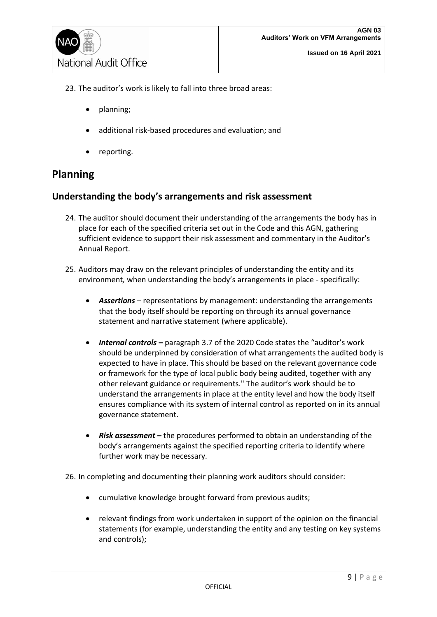23. The auditor's work is likely to fall into three broad areas:

- planning;
- additional risk-based procedures and evaluation; and
- reporting.

### <span id="page-8-0"></span>**Planning**

#### <span id="page-8-1"></span>**Understanding the body's arrangements and risk assessment**

- 24. The auditor should document their understanding of the arrangements the body has in place for each of the specified criteria set out in the Code and this AGN, gathering sufficient evidence to support their risk assessment and commentary in the Auditor's Annual Report.
- 25. Auditors may draw on the relevant principles of understanding the entity and its environment*,* when understanding the body's arrangements in place - specifically:
	- *Assertions* representations by management: understanding the arrangements that the body itself should be reporting on through its annual governance statement and narrative statement (where applicable).
	- *Internal controls* paragraph 3.7 of the 2020 Code states the "auditor's work should be underpinned by consideration of what arrangements the audited body is expected to have in place. This should be based on the relevant governance code or framework for the type of local public body being audited, together with any other relevant guidance or requirements." The auditor's work should be to understand the arrangements in place at the entity level and how the body itself ensures compliance with its system of internal control as reported on in its annual governance statement.
	- *Risk assessment –* the procedures performed to obtain an understanding of the body's arrangements against the specified reporting criteria to identify where further work may be necessary.

26. In completing and documenting their planning work auditors should consider:

- cumulative knowledge brought forward from previous audits;
- relevant findings from work undertaken in support of the opinion on the financial statements (for example, understanding the entity and any testing on key systems and controls);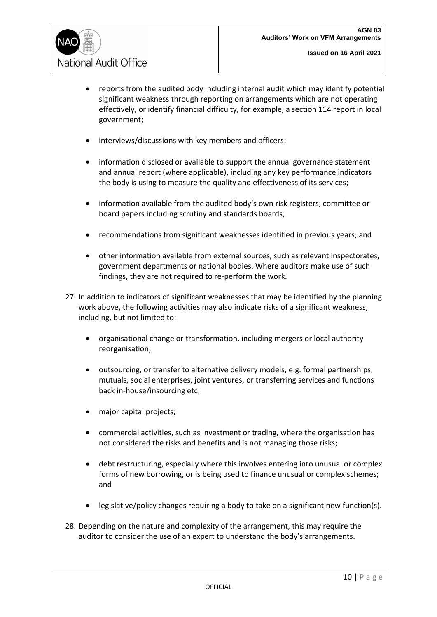

- reports from the audited body including internal audit which may identify potential significant weakness through reporting on arrangements which are not operating effectively, or identify financial difficulty, for example, a section 114 report in local government;
- interviews/discussions with key members and officers;
- information disclosed or available to support the annual governance statement and annual report (where applicable), including any key performance indicators the body is using to measure the quality and effectiveness of its services;
- information available from the audited body's own risk registers, committee or board papers including scrutiny and standards boards;
- recommendations from significant weaknesses identified in previous years; and
- other information available from external sources, such as relevant inspectorates, government departments or national bodies. Where auditors make use of such findings, they are not required to re-perform the work.
- 27. In addition to indicators of significant weaknesses that may be identified by the planning work above, the following activities may also indicate risks of a significant weakness, including, but not limited to:
	- organisational change or transformation, including mergers or local authority reorganisation;
	- outsourcing, or transfer to alternative delivery models, e.g. formal partnerships, mutuals, social enterprises, joint ventures, or transferring services and functions back in-house/insourcing etc;
	- major capital projects;
	- commercial activities, such as investment or trading, where the organisation has not considered the risks and benefits and is not managing those risks;
	- debt restructuring, especially where this involves entering into unusual or complex forms of new borrowing, or is being used to finance unusual or complex schemes; and
	- legislative/policy changes requiring a body to take on a significant new function(s).
- 28. Depending on the nature and complexity of the arrangement, this may require the auditor to consider the use of an expert to understand the body's arrangements.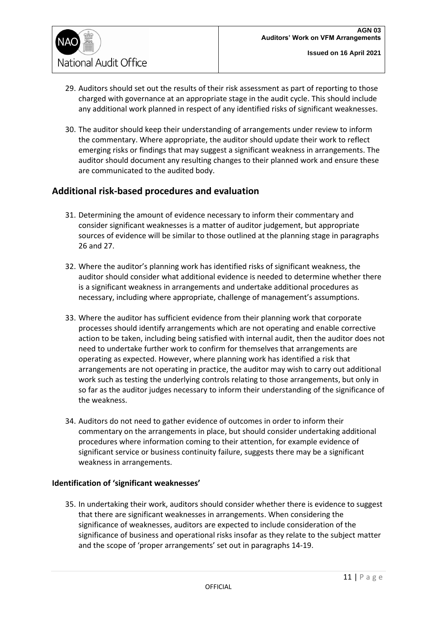

- 29. Auditors should set out the results of their risk assessment as part of reporting to those charged with governance at an appropriate stage in the audit cycle. This should include any additional work planned in respect of any identified risks of significant weaknesses.
- 30. The auditor should keep their understanding of arrangements under review to inform the commentary. Where appropriate, the auditor should update their work to reflect emerging risks or findings that may suggest a significant weakness in arrangements. The auditor should document any resulting changes to their planned work and ensure these are communicated to the audited body.

### <span id="page-10-0"></span>**Additional risk-based procedures and evaluation**

- 31. Determining the amount of evidence necessary to inform their commentary and consider significant weaknesses is a matter of auditor judgement, but appropriate sources of evidence will be similar to those outlined at the planning stage in paragraphs 26 and 27.
- 32. Where the auditor's planning work has identified risks of significant weakness, the auditor should consider what additional evidence is needed to determine whether there is a significant weakness in arrangements and undertake additional procedures as necessary, including where appropriate, challenge of management's assumptions.
- 33. Where the auditor has sufficient evidence from their planning work that corporate processes should identify arrangements which are not operating and enable corrective action to be taken, including being satisfied with internal audit, then the auditor does not need to undertake further work to confirm for themselves that arrangements are operating as expected. However, where planning work has identified a risk that arrangements are not operating in practice, the auditor may wish to carry out additional work such as testing the underlying controls relating to those arrangements, but only in so far as the auditor judges necessary to inform their understanding of the significance of the weakness.
- 34. Auditors do not need to gather evidence of outcomes in order to inform their commentary on the arrangements in place, but should consider undertaking additional procedures where information coming to their attention, for example evidence of significant service or business continuity failure, suggests there may be a significant weakness in arrangements.

#### <span id="page-10-1"></span>**Identification of 'significant weaknesses'**

35. In undertaking their work, auditors should consider whether there is evidence to suggest that there are significant weaknesses in arrangements. When considering the significance of weaknesses, auditors are expected to include consideration of the significance of business and operational risks insofar as they relate to the subject matter and the scope of 'proper arrangements' set out in paragraphs 14-19.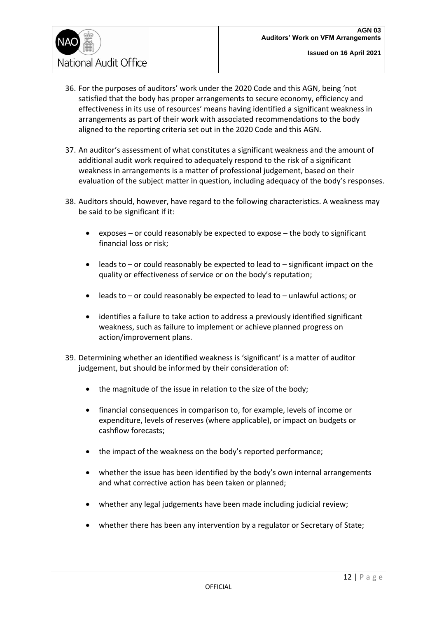

- 36. For the purposes of auditors' work under the 2020 Code and this AGN, being 'not satisfied that the body has proper arrangements to secure economy, efficiency and effectiveness in its use of resources' means having identified a significant weakness in arrangements as part of their work with associated recommendations to the body aligned to the reporting criteria set out in the 2020 Code and this AGN.
- 37. An auditor's assessment of what constitutes a significant weakness and the amount of additional audit work required to adequately respond to the risk of a significant weakness in arrangements is a matter of professional judgement, based on their evaluation of the subject matter in question, including adequacy of the body's responses.
- 38. Auditors should, however, have regard to the following characteristics. A weakness may be said to be significant if it:
	- exposes or could reasonably be expected to expose the body to significant financial loss or risk;
	- leads to or could reasonably be expected to lead to significant impact on the quality or effectiveness of service or on the body's reputation;
	- leads to or could reasonably be expected to lead to unlawful actions; or
	- identifies a failure to take action to address a previously identified significant weakness, such as failure to implement or achieve planned progress on action/improvement plans.
- 39. Determining whether an identified weakness is 'significant' is a matter of auditor judgement, but should be informed by their consideration of:
	- the magnitude of the issue in relation to the size of the body;
	- financial consequences in comparison to, for example, levels of income or expenditure, levels of reserves (where applicable), or impact on budgets or cashflow forecasts;
	- the impact of the weakness on the body's reported performance;
	- whether the issue has been identified by the body's own internal arrangements and what corrective action has been taken or planned;
	- whether any legal judgements have been made including judicial review;
	- whether there has been any intervention by a regulator or Secretary of State;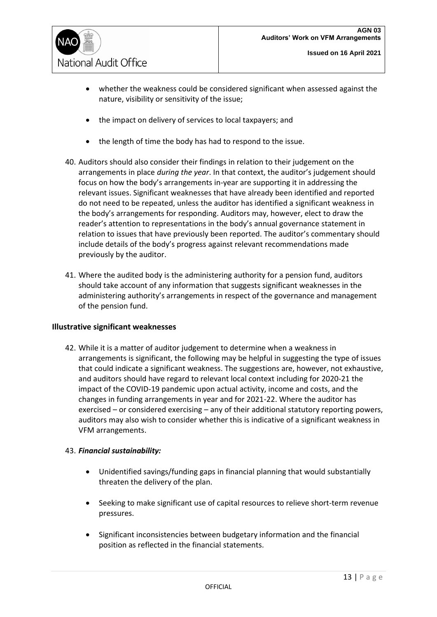

- whether the weakness could be considered significant when assessed against the nature, visibility or sensitivity of the issue;
- the impact on delivery of services to local taxpayers; and
- the length of time the body has had to respond to the issue.
- 40. Auditors should also consider their findings in relation to their judgement on the arrangements in place *during the year*. In that context, the auditor's judgement should focus on how the body's arrangements in-year are supporting it in addressing the relevant issues. Significant weaknesses that have already been identified and reported do not need to be repeated, unless the auditor has identified a significant weakness in the body's arrangements for responding. Auditors may, however, elect to draw the reader's attention to representations in the body's annual governance statement in relation to issues that have previously been reported. The auditor's commentary should include details of the body's progress against relevant recommendations made previously by the auditor.
- 41. Where the audited body is the administering authority for a pension fund, auditors should take account of any information that suggests significant weaknesses in the administering authority's arrangements in respect of the governance and management of the pension fund.

#### <span id="page-12-0"></span>**Illustrative significant weaknesses**

42. While it is a matter of auditor judgement to determine when a weakness in arrangements is significant, the following may be helpful in suggesting the type of issues that could indicate a significant weakness. The suggestions are, however, not exhaustive, and auditors should have regard to relevant local context including for 2020-21 the impact of the COVID-19 pandemic upon actual activity, income and costs, and the changes in funding arrangements in year and for 2021-22. Where the auditor has exercised – or considered exercising – any of their additional statutory reporting powers, auditors may also wish to consider whether this is indicative of a significant weakness in VFM arrangements.

#### 43. *Financial sustainability:*

- Unidentified savings/funding gaps in financial planning that would substantially threaten the delivery of the plan.
- Seeking to make significant use of capital resources to relieve short-term revenue pressures.
- Significant inconsistencies between budgetary information and the financial position as reflected in the financial statements.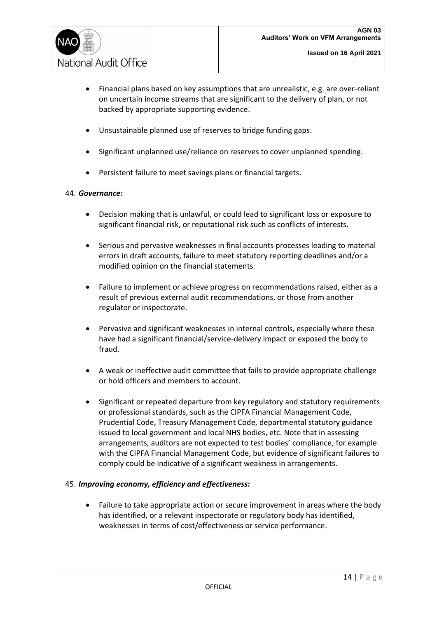

- Financial plans based on key assumptions that are unrealistic, e.g. are over-reliant on uncertain income streams that are significant to the delivery of plan, or not backed by appropriate supporting evidence.
- Unsustainable planned use of reserves to bridge funding gaps.
- Significant unplanned use/reliance on reserves to cover unplanned spending.
- Persistent failure to meet savings plans or financial targets.

#### 44. *Governance:*

- Decision making that is unlawful, or could lead to significant loss or exposure to significant financial risk, or reputational risk such as conflicts of interests.
- Serious and pervasive weaknesses in final accounts processes leading to material errors in draft accounts, failure to meet statutory reporting deadlines and/or a modified opinion on the financial statements.
- Failure to implement or achieve progress on recommendations raised, either as a result of previous external audit recommendations, or those from another regulator or inspectorate.
- Pervasive and significant weaknesses in internal controls, especially where these have had a significant financial/service-delivery impact or exposed the body to fraud.
- A weak or ineffective audit committee that fails to provide appropriate challenge or hold officers and members to account.
- Significant or repeated departure from key regulatory and statutory requirements or professional standards, such as the CIPFA Financial Management Code, Prudential Code, Treasury Management Code, departmental statutory guidance issued to local government and local NHS bodies, etc. Note that in assessing arrangements, auditors are not expected to test bodies' compliance, for example with the CIPFA Financial Management Code, but evidence of significant failures to comply could be indicative of a significant weakness in arrangements.

#### 45. *Improving economy, efficiency and effectiveness:*

• Failure to take appropriate action or secure improvement in areas where the body has identified, or a relevant inspectorate or regulatory body has identified, weaknesses in terms of cost/effectiveness or service performance.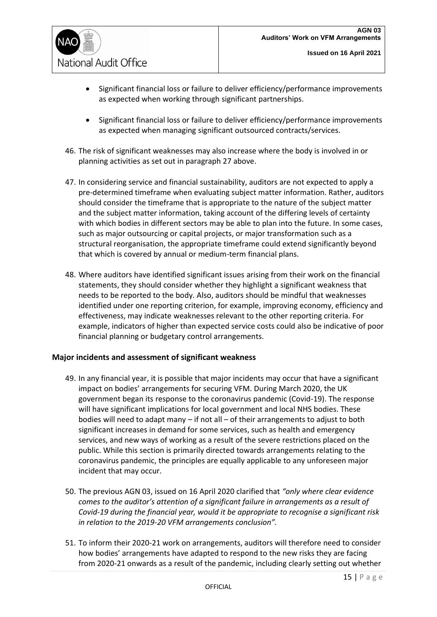

- Significant financial loss or failure to deliver efficiency/performance improvements as expected when working through significant partnerships.
- Significant financial loss or failure to deliver efficiency/performance improvements as expected when managing significant outsourced contracts/services.
- 46. The risk of significant weaknesses may also increase where the body is involved in or planning activities as set out in paragraph 27 above.
- 47. In considering service and financial sustainability, auditors are not expected to apply a pre-determined timeframe when evaluating subject matter information. Rather, auditors should consider the timeframe that is appropriate to the nature of the subject matter and the subject matter information, taking account of the differing levels of certainty with which bodies in different sectors may be able to plan into the future. In some cases, such as major outsourcing or capital projects, or major transformation such as a structural reorganisation, the appropriate timeframe could extend significantly beyond that which is covered by annual or medium-term financial plans.
- 48. Where auditors have identified significant issues arising from their work on the financial statements, they should consider whether they highlight a significant weakness that needs to be reported to the body. Also, auditors should be mindful that weaknesses identified under one reporting criterion, for example, improving economy, efficiency and effectiveness, may indicate weaknesses relevant to the other reporting criteria. For example, indicators of higher than expected service costs could also be indicative of poor financial planning or budgetary control arrangements.

#### <span id="page-14-0"></span>**Major incidents and assessment of significant weakness**

- 49. In any financial year, it is possible that major incidents may occur that have a significant impact on bodies' arrangements for securing VFM. During March 2020, the UK government began its response to the coronavirus pandemic (Covid-19). The response will have significant implications for local government and local NHS bodies. These bodies will need to adapt many – if not all – of their arrangements to adjust to both significant increases in demand for some services, such as health and emergency services, and new ways of working as a result of the severe restrictions placed on the public. While this section is primarily directed towards arrangements relating to the coronavirus pandemic, the principles are equally applicable to any unforeseen major incident that may occur.
- 50. The previous AGN 03, issued on 16 April 2020 clarified that *"only where clear evidence comes to the auditor's attention of a significant failure in arrangements as a result of Covid-19 during the financial year, would it be appropriate to recognise a significant risk in relation to the 2019-20 VFM arrangements conclusion".*
- 51. To inform their 2020-21 work on arrangements, auditors will therefore need to consider how bodies' arrangements have adapted to respond to the new risks they are facing from 2020-21 onwards as a result of the pandemic, including clearly setting out whether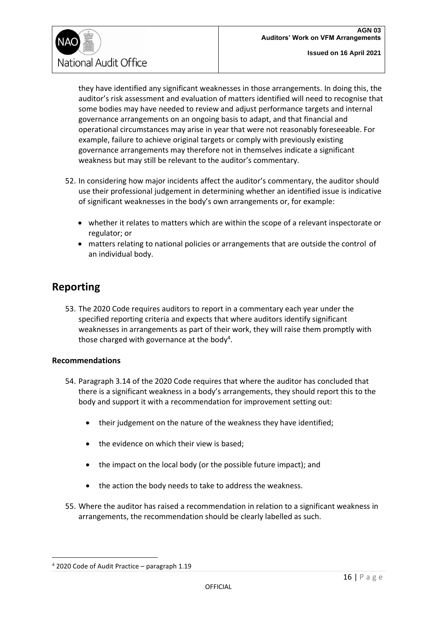

they have identified any significant weaknesses in those arrangements. In doing this, the auditor's risk assessment and evaluation of matters identified will need to recognise that some bodies may have needed to review and adjust performance targets and internal governance arrangements on an ongoing basis to adapt, and that financial and operational circumstances may arise in year that were not reasonably foreseeable. For example, failure to achieve original targets or comply with previously existing governance arrangements may therefore not in themselves indicate a significant weakness but may still be relevant to the auditor's commentary.

- 52. In considering how major incidents affect the auditor's commentary, the auditor should use their professional judgement in determining whether an identified issue is indicative of significant weaknesses in the body's own arrangements or, for example:
	- whether it relates to matters which are within the scope of a relevant inspectorate or regulator; or
	- matters relating to national policies or arrangements that are outside the control of an individual body.

### <span id="page-15-0"></span>**Reporting**

53. The 2020 Code requires auditors to report in a commentary each year under the specified reporting criteria and expects that where auditors identify significant weaknesses in arrangements as part of their work, they will raise them promptly with those charged with governance at the body<sup>4</sup>.

#### <span id="page-15-1"></span>**Recommendations**

- 54. Paragraph 3.14 of the 2020 Code requires that where the auditor has concluded that there is a significant weakness in a body's arrangements, they should report this to the body and support it with a recommendation for improvement setting out:
	- their judgement on the nature of the weakness they have identified;
	- the evidence on which their view is based;
	- the impact on the local body (or the possible future impact); and
	- the action the body needs to take to address the weakness.
- 55. Where the auditor has raised a recommendation in relation to a significant weakness in arrangements, the recommendation should be clearly labelled as such.

 $4$  2020 Code of Audit Practice – paragraph 1.19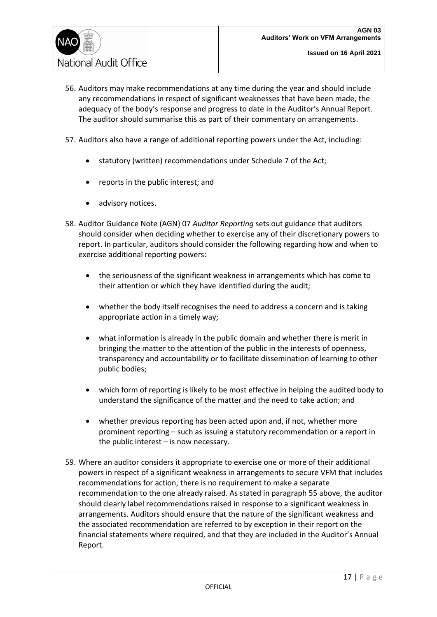

- 56. Auditors may make recommendations at any time during the year and should include any recommendations in respect of significant weaknesses that have been made, the adequacy of the body's response and progress to date in the Auditor's Annual Report. The auditor should summarise this as part of their commentary on arrangements.
- 57. Auditors also have a range of additional reporting powers under the Act, including:
	- statutory (written) recommendations under Schedule 7 of the Act;
	- reports in the public interest; and
	- advisory notices.
- 58. Auditor Guidance Note (AGN) 07 *Auditor Reporting* sets out guidance that auditors should consider when deciding whether to exercise any of their discretionary powers to report. In particular, auditors should consider the following regarding how and when to exercise additional reporting powers:
	- the seriousness of the significant weakness in arrangements which has come to their attention or which they have identified during the audit;
	- whether the body itself recognises the need to address a concern and is taking appropriate action in a timely way;
	- what information is already in the public domain and whether there is merit in bringing the matter to the attention of the public in the interests of openness, transparency and accountability or to facilitate dissemination of learning to other public bodies;
	- which form of reporting is likely to be most effective in helping the audited body to understand the significance of the matter and the need to take action; and
	- whether previous reporting has been acted upon and, if not, whether more prominent reporting – such as issuing a statutory recommendation or a report in the public interest – is now necessary.
- 59. Where an auditor considers it appropriate to exercise one or more of their additional powers in respect of a significant weakness in arrangements to secure VFM that includes recommendations for action, there is no requirement to make a separate recommendation to the one already raised. As stated in paragraph 55 above, the auditor should clearly label recommendations raised in response to a significant weakness in arrangements. Auditors should ensure that the nature of the significant weakness and the associated recommendation are referred to by exception in their report on the financial statements where required, and that they are included in the Auditor's Annual Report.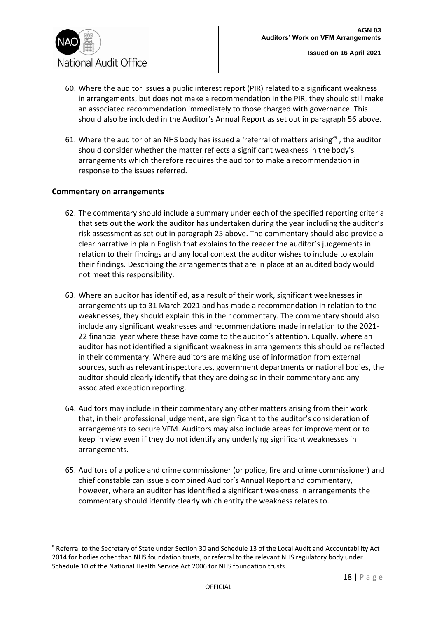

- 60. Where the auditor issues a public interest report (PIR) related to a significant weakness in arrangements, but does not make a recommendation in the PIR, they should still make an associated recommendation immediately to those charged with governance. This should also be included in the Auditor's Annual Report as set out in paragraph 56 above.
- 61. Where the auditor of an NHS body has issued a 'referral of matters arising<sup>'5</sup>, the auditor should consider whether the matter reflects a significant weakness in the body's arrangements which therefore requires the auditor to make a recommendation in response to the issues referred.

#### <span id="page-17-0"></span>**Commentary on arrangements**

- 62. The commentary should include a summary under each of the specified reporting criteria that sets out the work the auditor has undertaken during the year including the auditor's risk assessment as set out in paragraph 25 above. The commentary should also provide a clear narrative in plain English that explains to the reader the auditor's judgements in relation to their findings and any local context the auditor wishes to include to explain their findings. Describing the arrangements that are in place at an audited body would not meet this responsibility.
- 63. Where an auditor has identified, as a result of their work, significant weaknesses in arrangements up to 31 March 2021 and has made a recommendation in relation to the weaknesses, they should explain this in their commentary. The commentary should also include any significant weaknesses and recommendations made in relation to the 2021- 22 financial year where these have come to the auditor's attention. Equally, where an auditor has not identified a significant weakness in arrangements this should be reflected in their commentary. Where auditors are making use of information from external sources, such as relevant inspectorates, government departments or national bodies, the auditor should clearly identify that they are doing so in their commentary and any associated exception reporting.
- 64. Auditors may include in their commentary any other matters arising from their work that, in their professional judgement, are significant to the auditor's consideration of arrangements to secure VFM. Auditors may also include areas for improvement or to keep in view even if they do not identify any underlying significant weaknesses in arrangements.
- 65. Auditors of a police and crime commissioner (or police, fire and crime commissioner) and chief constable can issue a combined Auditor's Annual Report and commentary, however, where an auditor has identified a significant weakness in arrangements the commentary should identify clearly which entity the weakness relates to.

<sup>5</sup> Referral to the Secretary of State under Section 30 and Schedule 13 of the Local Audit and Accountability Act 2014 for bodies other than NHS foundation trusts, or referral to the relevant NHS regulatory body under Schedule 10 of the National Health Service Act 2006 for NHS foundation trusts.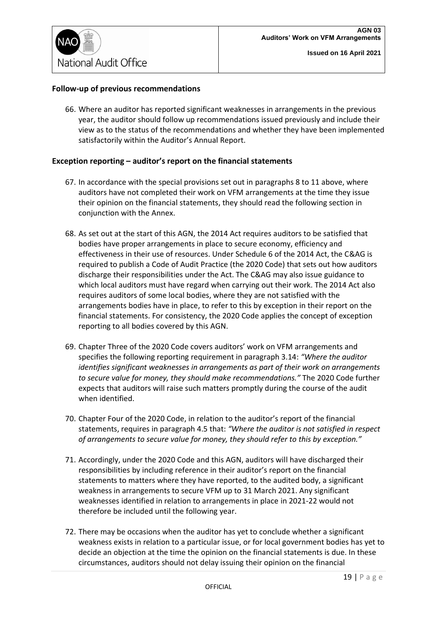#### <span id="page-18-0"></span>**Follow-up of previous recommendations**

66. Where an auditor has reported significant weaknesses in arrangements in the previous year, the auditor should follow up recommendations issued previously and include their view as to the status of the recommendations and whether they have been implemented satisfactorily within the Auditor's Annual Report.

#### <span id="page-18-1"></span>**Exception reporting – auditor's report on the financial statements**

- 67. In accordance with the special provisions set out in paragraphs 8 to 11 above, where auditors have not completed their work on VFM arrangements at the time they issue their opinion on the financial statements, they should read the following section in conjunction with the Annex.
- 68. As set out at the start of this AGN, the 2014 Act requires auditors to be satisfied that bodies have proper arrangements in place to secure economy, efficiency and effectiveness in their use of resources. Under Schedule 6 of the 2014 Act, the C&AG is required to publish a Code of Audit Practice (the 2020 Code) that sets out how auditors discharge their responsibilities under the Act. The C&AG may also issue guidance to which local auditors must have regard when carrying out their work. The 2014 Act also requires auditors of some local bodies, where they are not satisfied with the arrangements bodies have in place, to refer to this by exception in their report on the financial statements. For consistency, the 2020 Code applies the concept of exception reporting to all bodies covered by this AGN.
- 69. Chapter Three of the 2020 Code covers auditors' work on VFM arrangements and specifies the following reporting requirement in paragraph 3.14: *"Where the auditor identifies significant weaknesses in arrangements as part of their work on arrangements to secure value for money, they should make recommendations."* The 2020 Code further expects that auditors will raise such matters promptly during the course of the audit when identified.
- 70. Chapter Four of the 2020 Code, in relation to the auditor's report of the financial statements, requires in paragraph 4.5 that: *"Where the auditor is not satisfied in respect of arrangements to secure value for money, they should refer to this by exception."*
- 71. Accordingly, under the 2020 Code and this AGN, auditors will have discharged their responsibilities by including reference in their auditor's report on the financial statements to matters where they have reported, to the audited body, a significant weakness in arrangements to secure VFM up to 31 March 2021. Any significant weaknesses identified in relation to arrangements in place in 2021-22 would not therefore be included until the following year.
- 72. There may be occasions when the auditor has yet to conclude whether a significant weakness exists in relation to a particular issue, or for local government bodies has yet to decide an objection at the time the opinion on the financial statements is due. In these circumstances, auditors should not delay issuing their opinion on the financial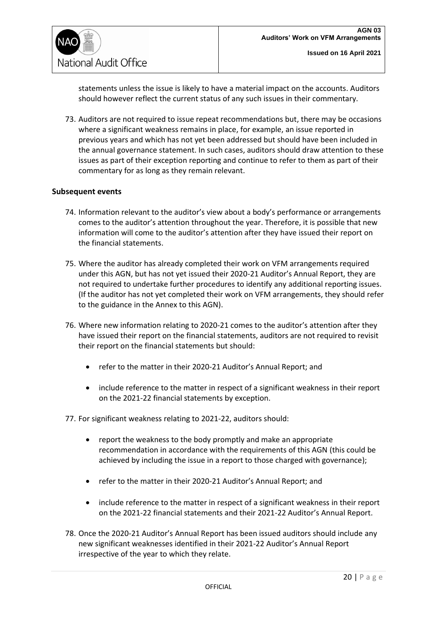

statements unless the issue is likely to have a material impact on the accounts. Auditors should however reflect the current status of any such issues in their commentary.

73. Auditors are not required to issue repeat recommendations but, there may be occasions where a significant weakness remains in place, for example, an issue reported in previous years and which has not yet been addressed but should have been included in the annual governance statement. In such cases, auditors should draw attention to these issues as part of their exception reporting and continue to refer to them as part of their commentary for as long as they remain relevant.

#### <span id="page-19-0"></span>**Subsequent events**

- 74. Information relevant to the auditor's view about a body's performance or arrangements comes to the auditor's attention throughout the year. Therefore, it is possible that new information will come to the auditor's attention after they have issued their report on the financial statements.
- 75. Where the auditor has already completed their work on VFM arrangements required under this AGN, but has not yet issued their 2020-21 Auditor's Annual Report, they are not required to undertake further procedures to identify any additional reporting issues. (If the auditor has not yet completed their work on VFM arrangements, they should refer to the guidance in the Annex to this AGN).
- 76. Where new information relating to 2020-21 comes to the auditor's attention after they have issued their report on the financial statements, auditors are not required to revisit their report on the financial statements but should:
	- refer to the matter in their 2020-21 Auditor's Annual Report; and
	- include reference to the matter in respect of a significant weakness in their report on the 2021-22 financial statements by exception.

77. For significant weakness relating to 2021-22, auditors should:

- report the weakness to the body promptly and make an appropriate recommendation in accordance with the requirements of this AGN (this could be achieved by including the issue in a report to those charged with governance);
- refer to the matter in their 2020-21 Auditor's Annual Report; and
- include reference to the matter in respect of a significant weakness in their report on the 2021-22 financial statements and their 2021-22 Auditor's Annual Report.
- 78. Once the 2020-21 Auditor's Annual Report has been issued auditors should include any new significant weaknesses identified in their 2021-22 Auditor's Annual Report irrespective of the year to which they relate.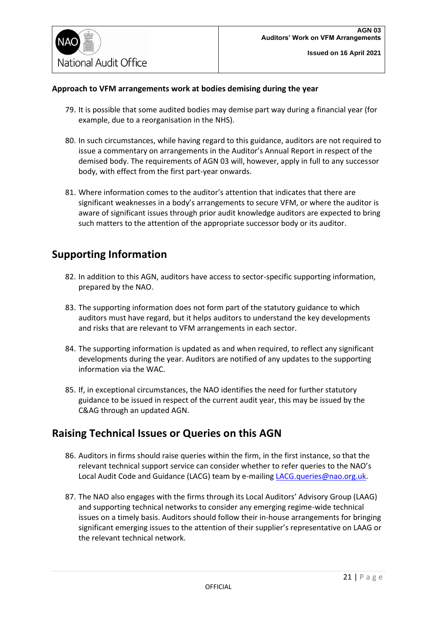#### <span id="page-20-0"></span>**Approach to VFM arrangements work at bodies demising during the year**

- 79. It is possible that some audited bodies may demise part way during a financial year (for example, due to a reorganisation in the NHS).
- 80. In such circumstances, while having regard to this guidance, auditors are not required to issue a commentary on arrangements in the Auditor's Annual Report in respect of the demised body. The requirements of AGN 03 will, however, apply in full to any successor body, with effect from the first part-year onwards.
- 81. Where information comes to the auditor's attention that indicates that there are significant weaknesses in a body's arrangements to secure VFM, or where the auditor is aware of significant issues through prior audit knowledge auditors are expected to bring such matters to the attention of the appropriate successor body or its auditor.

### <span id="page-20-1"></span>**Supporting Information**

- 82. In addition to this AGN, auditors have access to sector-specific supporting information, prepared by the NAO.
- 83. The supporting information does not form part of the statutory guidance to which auditors must have regard, but it helps auditors to understand the key developments and risks that are relevant to VFM arrangements in each sector.
- 84. The supporting information is updated as and when required, to reflect any significant developments during the year. Auditors are notified of any updates to the supporting information via the WAC.
- 85. If, in exceptional circumstances, the NAO identifies the need for further statutory guidance to be issued in respect of the current audit year, this may be issued by the C&AG through an updated AGN.

### <span id="page-20-2"></span>**Raising Technical Issues or Queries on this AGN**

- 86. Auditors in firms should raise queries within the firm, in the first instance, so that the relevant technical support service can consider whether to refer queries to the NAO's Local Audit Code and Guidance (LACG) team by e-mailing [LACG.queries@nao.org.uk.](mailto:LACG.queries@nao.org.uk)
- 87. The NAO also engages with the firms through its Local Auditors' Advisory Group (LAAG) and supporting technical networks to consider any emerging regime-wide technical issues on a timely basis. Auditors should follow their in-house arrangements for bringing significant emerging issues to the attention of their supplier's representative on LAAG or the relevant technical network.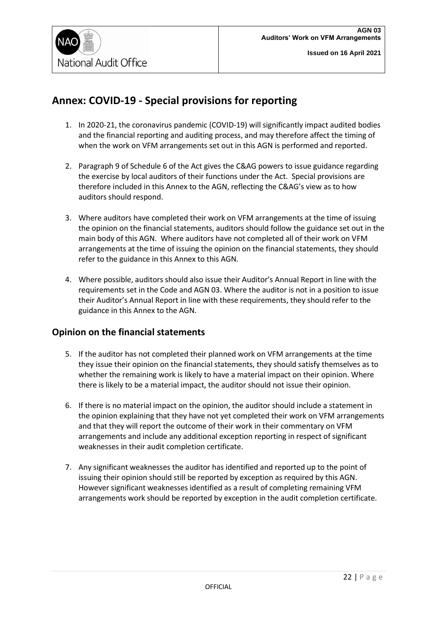

### <span id="page-21-0"></span>**Annex: COVID-19 - Special provisions for reporting**

- 1. In 2020-21, the coronavirus pandemic (COVID-19) will significantly impact audited bodies and the financial reporting and auditing process, and may therefore affect the timing of when the work on VFM arrangements set out in this AGN is performed and reported.
- 2. Paragraph 9 of Schedule 6 of the Act gives the C&AG powers to issue guidance regarding the exercise by local auditors of their functions under the Act. Special provisions are therefore included in this Annex to the AGN, reflecting the C&AG's view as to how auditors should respond.
- 3. Where auditors have completed their work on VFM arrangements at the time of issuing the opinion on the financial statements, auditors should follow the guidance set out in the main body of this AGN. Where auditors have not completed all of their work on VFM arrangements at the time of issuing the opinion on the financial statements, they should refer to the guidance in this Annex to this AGN.
- 4. Where possible, auditors should also issue their Auditor's Annual Report in line with the requirements set in the Code and AGN 03. Where the auditor is not in a position to issue their Auditor's Annual Report in line with these requirements, they should refer to the guidance in this Annex to the AGN.

### **Opinion on the financial statements**

- 5. If the auditor has not completed their planned work on VFM arrangements at the time they issue their opinion on the financial statements, they should satisfy themselves as to whether the remaining work is likely to have a material impact on their opinion. Where there is likely to be a material impact, the auditor should not issue their opinion.
- 6. If there is no material impact on the opinion, the auditor should include a statement in the opinion explaining that they have not yet completed their work on VFM arrangements and that they will report the outcome of their work in their commentary on VFM arrangements and include any additional exception reporting in respect of significant weaknesses in their audit completion certificate.
- 7. Any significant weaknesses the auditor has identified and reported up to the point of issuing their opinion should still be reported by exception as required by this AGN. However significant weaknesses identified as a result of completing remaining VFM arrangements work should be reported by exception in the audit completion certificate.